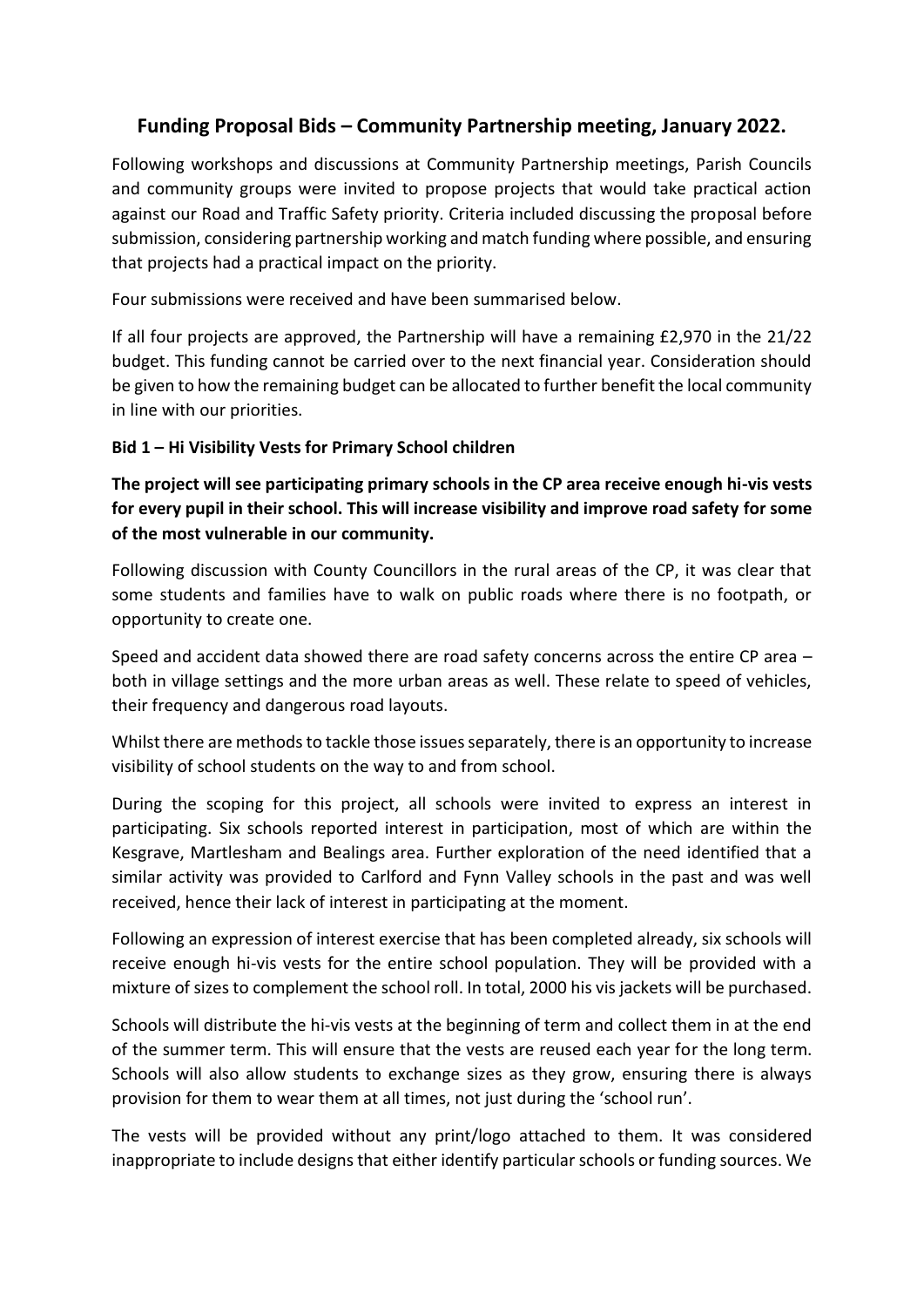# **Funding Proposal Bids – Community Partnership meeting, January 2022.**

Following workshops and discussions at Community Partnership meetings, Parish Councils and community groups were invited to propose projects that would take practical action against our Road and Traffic Safety priority. Criteria included discussing the proposal before submission, considering partnership working and match funding where possible, and ensuring that projects had a practical impact on the priority.

Four submissions were received and have been summarised below.

If all four projects are approved, the Partnership will have a remaining £2,970 in the 21/22 budget. This funding cannot be carried over to the next financial year. Consideration should be given to how the remaining budget can be allocated to further benefit the local community in line with our priorities.

## **Bid 1 – Hi Visibility Vests for Primary School children**

**The project will see participating primary schools in the CP area receive enough hi-vis vests for every pupil in their school. This will increase visibility and improve road safety for some of the most vulnerable in our community.** 

Following discussion with County Councillors in the rural areas of the CP, it was clear that some students and families have to walk on public roads where there is no footpath, or opportunity to create one.

Speed and accident data showed there are road safety concerns across the entire CP area – both in village settings and the more urban areas as well. These relate to speed of vehicles, their frequency and dangerous road layouts.

Whilst there are methods to tackle those issues separately, there is an opportunity to increase visibility of school students on the way to and from school.

During the scoping for this project, all schools were invited to express an interest in participating. Six schools reported interest in participation, most of which are within the Kesgrave, Martlesham and Bealings area. Further exploration of the need identified that a similar activity was provided to Carlford and Fynn Valley schools in the past and was well received, hence their lack of interest in participating at the moment.

Following an expression of interest exercise that has been completed already, six schools will receive enough hi-vis vests for the entire school population. They will be provided with a mixture of sizes to complement the school roll. In total, 2000 his vis jackets will be purchased.

Schools will distribute the hi-vis vests at the beginning of term and collect them in at the end of the summer term. This will ensure that the vests are reused each year for the long term. Schools will also allow students to exchange sizes as they grow, ensuring there is always provision for them to wear them at all times, not just during the 'school run'.

The vests will be provided without any print/logo attached to them. It was considered inappropriate to include designs that either identify particular schools or funding sources. We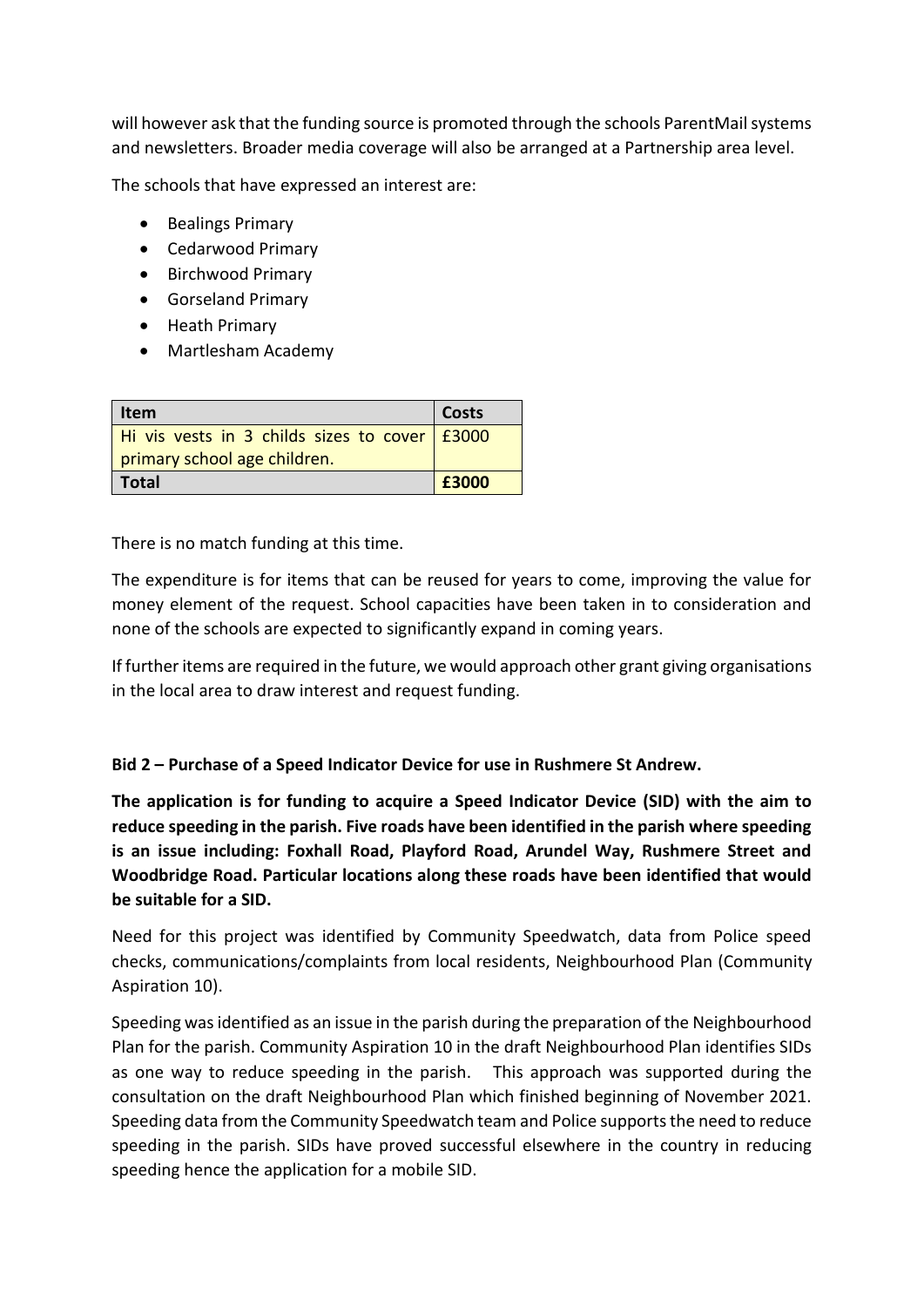will however ask that the funding source is promoted through the schools ParentMail systems and newsletters. Broader media coverage will also be arranged at a Partnership area level.

The schools that have expressed an interest are:

- Bealings Primary
- Cedarwood Primary
- Birchwood Primary
- Gorseland Primary
- Heath Primary
- Martlesham Academy

| Item                                            | <b>Costs</b> |  |
|-------------------------------------------------|--------------|--|
| Hi vis vests in 3 childs sizes to cover   £3000 |              |  |
| primary school age children.                    |              |  |
| Total                                           | £3000        |  |

There is no match funding at this time.

The expenditure is for items that can be reused for years to come, improving the value for money element of the request. School capacities have been taken in to consideration and none of the schools are expected to significantly expand in coming years.

If further items are required in the future, we would approach other grant giving organisations in the local area to draw interest and request funding.

## **Bid 2 – Purchase of a Speed Indicator Device for use in Rushmere St Andrew.**

**The application is for funding to acquire a Speed Indicator Device (SID) with the aim to reduce speeding in the parish. Five roads have been identified in the parish where speeding is an issue including: Foxhall Road, Playford Road, Arundel Way, Rushmere Street and Woodbridge Road. Particular locations along these roads have been identified that would be suitable for a SID.** 

Need for this project was identified by Community Speedwatch, data from Police speed checks, communications/complaints from local residents, Neighbourhood Plan (Community Aspiration 10).

Speeding was identified as an issue in the parish during the preparation of the Neighbourhood Plan for the parish. Community Aspiration 10 in the draft Neighbourhood Plan identifies SIDs as one way to reduce speeding in the parish. This approach was supported during the consultation on the draft Neighbourhood Plan which finished beginning of November 2021. Speeding data from the Community Speedwatch team and Police supports the need to reduce speeding in the parish. SIDs have proved successful elsewhere in the country in reducing speeding hence the application for a mobile SID.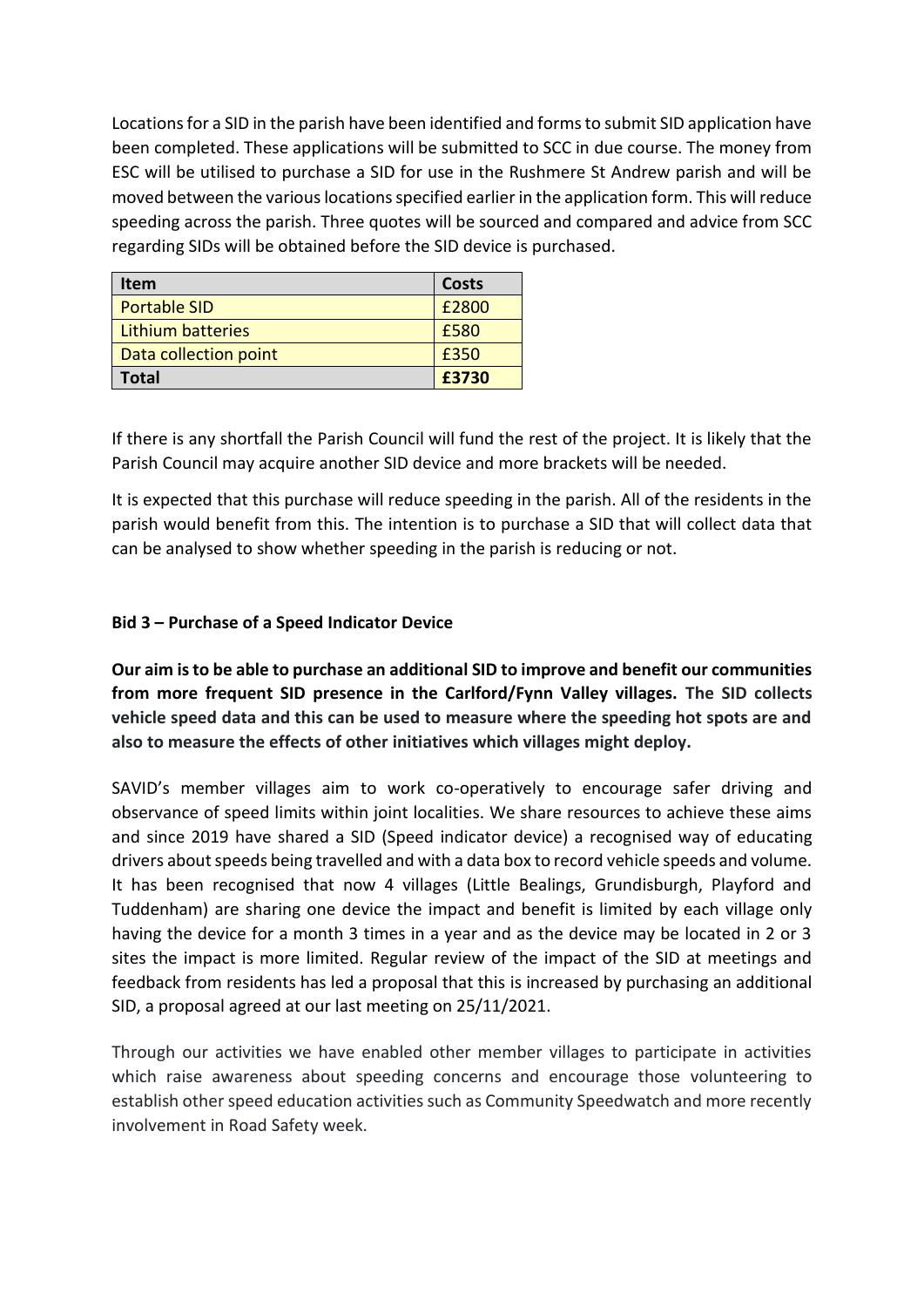Locations for a SID in the parish have been identified and forms to submit SID application have been completed. These applications will be submitted to SCC in due course. The money from ESC will be utilised to purchase a SID for use in the Rushmere St Andrew parish and will be moved between the various locations specified earlier in the application form. This will reduce speeding across the parish. Three quotes will be sourced and compared and advice from SCC regarding SIDs will be obtained before the SID device is purchased.

| <b>Item</b>           | Costs |
|-----------------------|-------|
| <b>Portable SID</b>   | £2800 |
| Lithium batteries     | £580  |
| Data collection point | £350  |
| <b>Total</b>          | £3730 |

If there is any shortfall the Parish Council will fund the rest of the project. It is likely that the Parish Council may acquire another SID device and more brackets will be needed.

It is expected that this purchase will reduce speeding in the parish. All of the residents in the parish would benefit from this. The intention is to purchase a SID that will collect data that can be analysed to show whether speeding in the parish is reducing or not.

## **Bid 3 – Purchase of a Speed Indicator Device**

**Our aim is to be able to purchase an additional SID to improve and benefit our communities from more frequent SID presence in the Carlford/Fynn Valley villages. The SID collects vehicle speed data and this can be used to measure where the speeding hot spots are and also to measure the effects of other initiatives which villages might deploy.** 

SAVID's member villages aim to work co-operatively to encourage safer driving and observance of speed limits within joint localities. We share resources to achieve these aims and since 2019 have shared a SID (Speed indicator device) a recognised way of educating drivers about speeds being travelled and with a data box to record vehicle speeds and volume. It has been recognised that now 4 villages (Little Bealings, Grundisburgh, Playford and Tuddenham) are sharing one device the impact and benefit is limited by each village only having the device for a month 3 times in a year and as the device may be located in 2 or 3 sites the impact is more limited. Regular review of the impact of the SID at meetings and feedback from residents has led a proposal that this is increased by purchasing an additional SID, a proposal agreed at our last meeting on 25/11/2021.

Through our activities we have enabled other member villages to participate in activities which raise awareness about speeding concerns and encourage those volunteering to establish other speed education activities such as Community Speedwatch and more recently involvement in Road Safety week.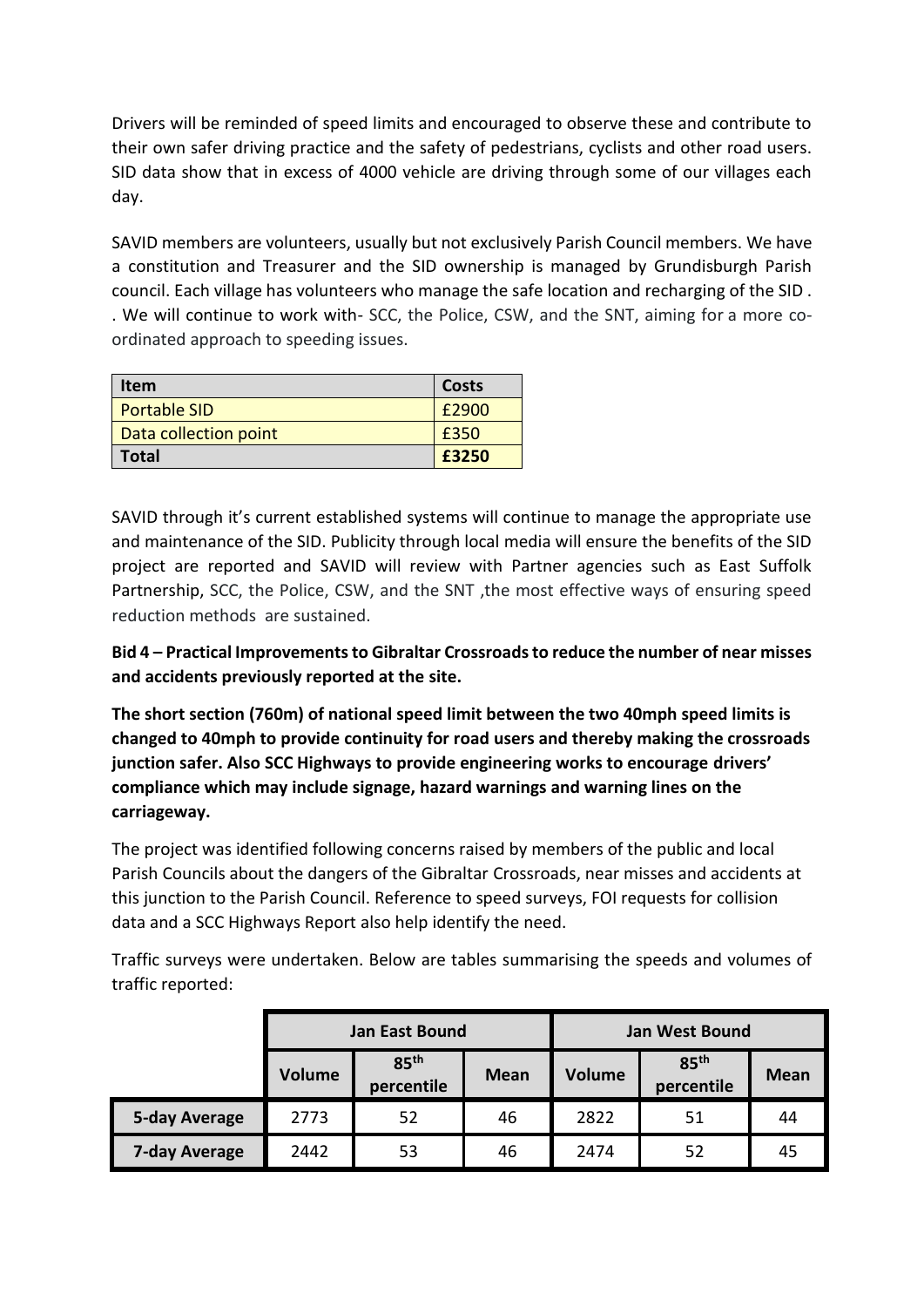Drivers will be reminded of speed limits and encouraged to observe these and contribute to their own safer driving practice and the safety of pedestrians, cyclists and other road users. SID data show that in excess of 4000 vehicle are driving through some of our villages each day.

SAVID members are volunteers, usually but not exclusively Parish Council members. We have a constitution and Treasurer and the SID ownership is managed by Grundisburgh Parish council. Each village has volunteers who manage the safe location and recharging of the SID . . We will continue to work with- SCC, the Police, CSW, and the SNT, aiming for a more coordinated approach to speeding issues.

| <b>Item</b>           | Costs |
|-----------------------|-------|
| <b>Portable SID</b>   | £2900 |
| Data collection point | £350  |
| <b>Total</b>          | £3250 |

SAVID through it's current established systems will continue to manage the appropriate use and maintenance of the SID. Publicity through local media will ensure the benefits of the SID project are reported and SAVID will review with Partner agencies such as East Suffolk Partnership, SCC, the Police, CSW, and the SNT ,the most effective ways of ensuring speed reduction methods are sustained.

**Bid 4 – Practical Improvements to Gibraltar Crossroads to reduce the number of near misses and accidents previously reported at the site.** 

**The short section (760m) of national speed limit between the two 40mph speed limits is changed to 40mph to provide continuity for road users and thereby making the crossroads junction safer. Also SCC Highways to provide engineering works to encourage drivers' compliance which may include signage, hazard warnings and warning lines on the carriageway.** 

The project was identified following concerns raised by members of the public and local Parish Councils about the dangers of the Gibraltar Crossroads, near misses and accidents at this junction to the Parish Council. Reference to speed surveys, FOI requests for collision data and a SCC Highways Report also help identify the need.

Traffic surveys were undertaken. Below are tables summarising the speeds and volumes of traffic reported:

|               | <b>Jan East Bound</b> |                                |             | <b>Jan West Bound</b> |                                |             |
|---------------|-----------------------|--------------------------------|-------------|-----------------------|--------------------------------|-------------|
|               | <b>Volume</b>         | 85 <sup>th</sup><br>percentile | <b>Mean</b> | <b>Volume</b>         | 85 <sup>th</sup><br>percentile | <b>Mean</b> |
| 5-day Average | 2773                  | 52                             | 46          | 2822                  | 51                             | 44          |
| 7-day Average | 2442                  | 53                             | 46          | 2474                  | 52                             | 45          |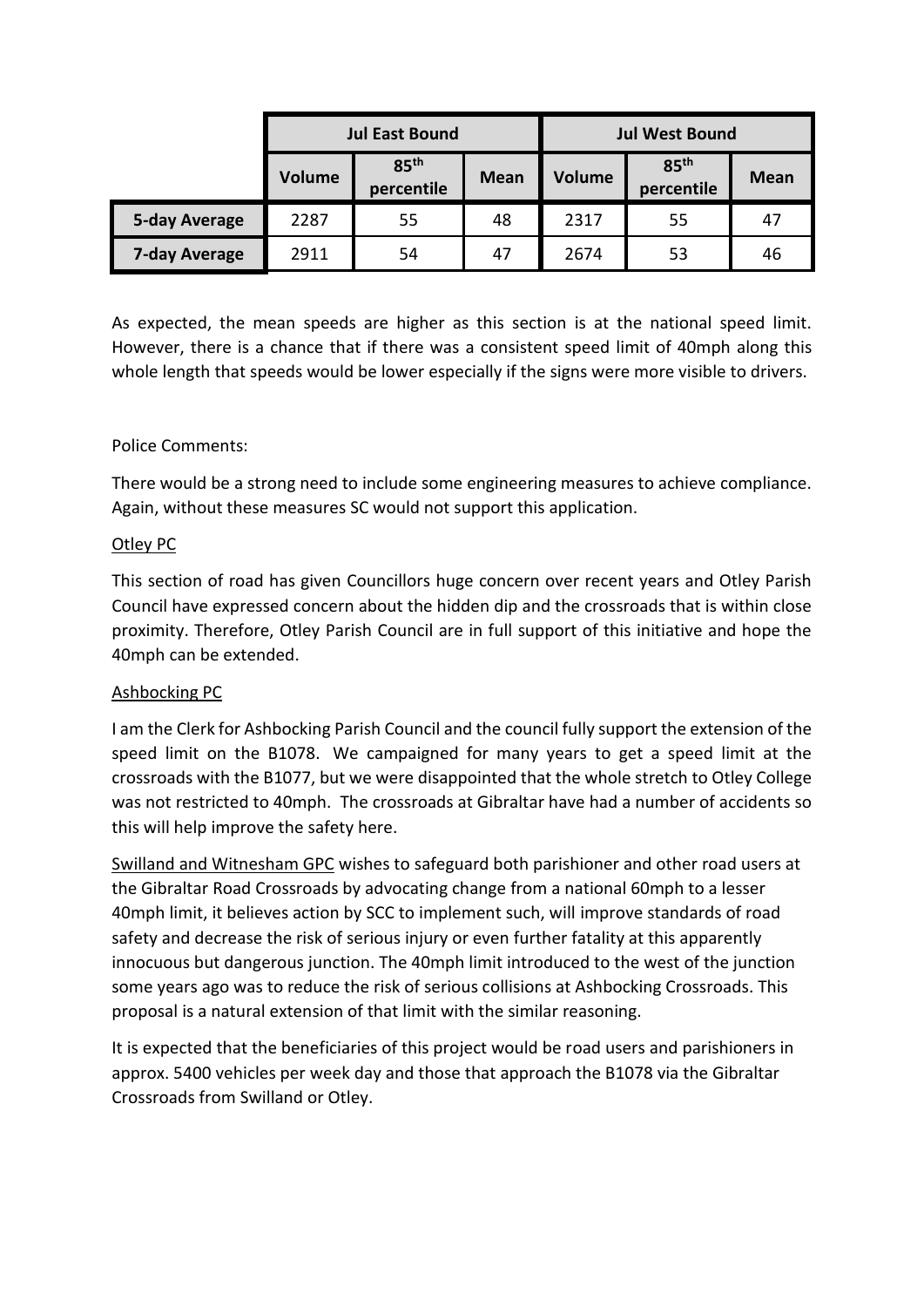|               | <b>Jul East Bound</b> |                                |             | <b>Jul West Bound</b> |                                |             |
|---------------|-----------------------|--------------------------------|-------------|-----------------------|--------------------------------|-------------|
|               | Volume                | 85 <sup>th</sup><br>percentile | <b>Mean</b> | <b>Volume</b>         | 85 <sup>th</sup><br>percentile | <b>Mean</b> |
| 5-day Average | 2287                  | 55                             | 48          | 2317                  | 55                             | 47          |
| 7-day Average | 2911                  | 54                             | 47          | 2674                  | 53                             | 46          |

As expected, the mean speeds are higher as this section is at the national speed limit. However, there is a chance that if there was a consistent speed limit of 40mph along this whole length that speeds would be lower especially if the signs were more visible to drivers.

## Police Comments:

There would be a strong need to include some engineering measures to achieve compliance. Again, without these measures SC would not support this application.

## Otley PC

This section of road has given Councillors huge concern over recent years and Otley Parish Council have expressed concern about the hidden dip and the crossroads that is within close proximity. Therefore, Otley Parish Council are in full support of this initiative and hope the 40mph can be extended.

## Ashbocking PC

I am the Clerk for Ashbocking Parish Council and the council fully support the extension of the speed limit on the B1078. We campaigned for many years to get a speed limit at the crossroads with the B1077, but we were disappointed that the whole stretch to Otley College was not restricted to 40mph. The crossroads at Gibraltar have had a number of accidents so this will help improve the safety here.

Swilland and Witnesham GPC wishes to safeguard both parishioner and other road users at the Gibraltar Road Crossroads by advocating change from a national 60mph to a lesser 40mph limit, it believes action by SCC to implement such, will improve standards of road safety and decrease the risk of serious injury or even further fatality at this apparently innocuous but dangerous junction. The 40mph limit introduced to the west of the junction some years ago was to reduce the risk of serious collisions at Ashbocking Crossroads. This proposal is a natural extension of that limit with the similar reasoning.

It is expected that the beneficiaries of this project would be road users and parishioners in approx. 5400 vehicles per week day and those that approach the B1078 via the Gibraltar Crossroads from Swilland or Otley.